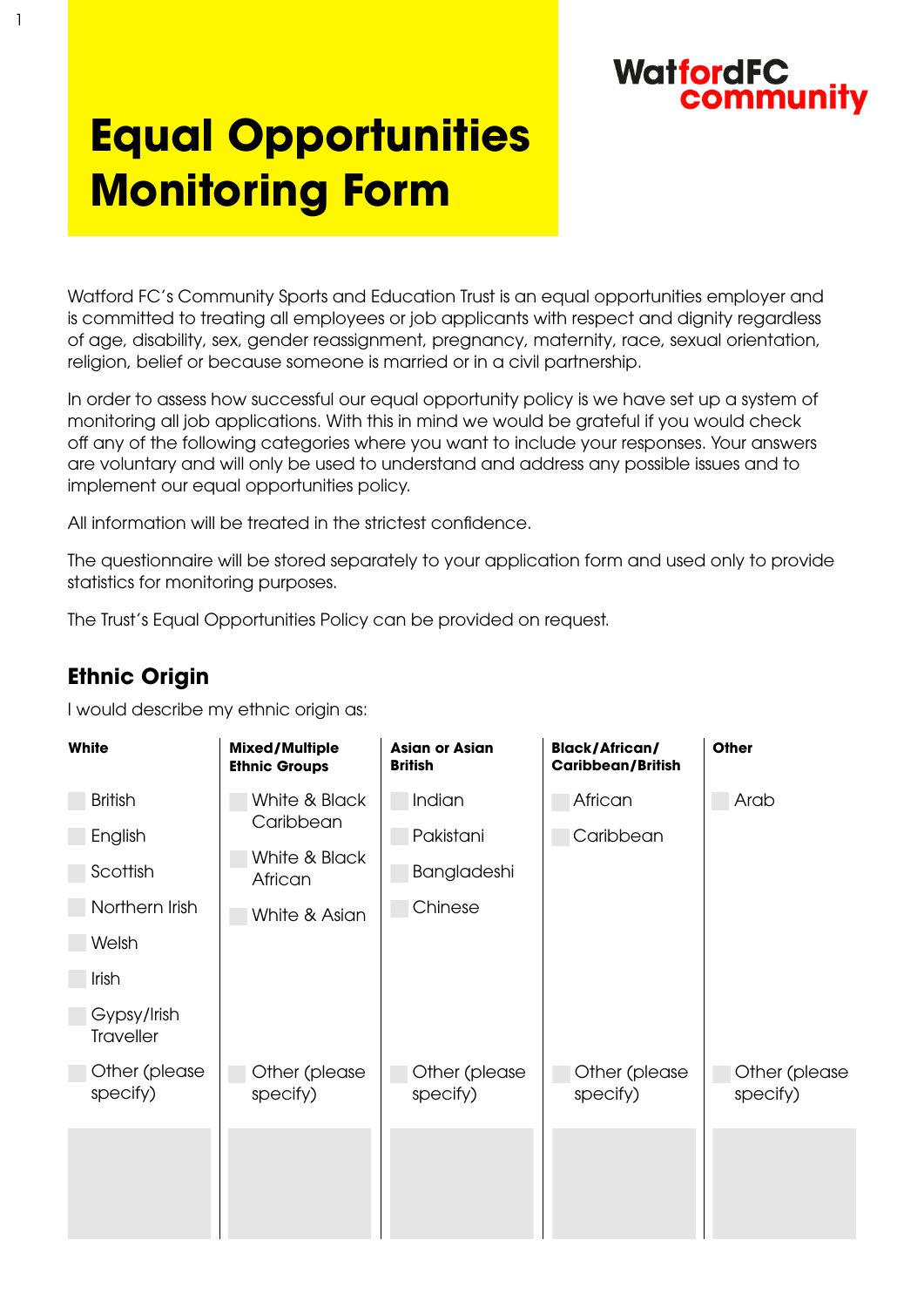### **WatfordFC** community

# **Equal Opportunities Monitoring Form**

Watford FC's Community Sports and Education Trust is an equal opportunities employer and is committed to treating all employees or job applicants with respect and dignity regardless of age, disability, sex, gender reassignment, pregnancy, maternity, race, sexual orientation, religion, belief or because someone is married or in a civil partnership.

In order to assess how successful our equal opportunity policy is we have set up a system of monitoring all job applications. With this in mind we would be grateful if you would check off any of the following categories where you want to include your responses. Your answers are voluntary and will only be used to understand and address any possible issues and to implement our equal opportunities policy.

All information will be treated in the strictest confidence.

The questionnaire will be stored separately to your application form and used only to provide statistics for monitoring purposes.

The Trust's Equal Opportunities Policy can be provided on request.

### **Ethnic Origin**

1

I would describe my ethnic origin as:

| White                           | <b>Mixed/Multiple</b><br><b>Ethnic Groups</b>          | <b>Asian or Asian</b><br><b>British</b> | <b>Black/African/</b><br><b>Caribbean/British</b> | Other                     |
|---------------------------------|--------------------------------------------------------|-----------------------------------------|---------------------------------------------------|---------------------------|
| <b>British</b>                  | White & Black<br>Caribbean<br>White & Black<br>African | Indian                                  | African                                           | Arab                      |
| English                         |                                                        | Pakistani                               | Caribbean                                         |                           |
| Scottish                        |                                                        | Bangladeshi                             |                                                   |                           |
| Northern Irish                  | White & Asian                                          | Chinese                                 |                                                   |                           |
| Welsh                           |                                                        |                                         |                                                   |                           |
| Irish                           |                                                        |                                         |                                                   |                           |
| Gypsy/Irish<br><b>Traveller</b> |                                                        |                                         |                                                   |                           |
| Other (please<br>specify)       | Other (please<br>specify)                              | Other (please<br>specify)               | Other (please<br>specify)                         | Other (please<br>specify) |
|                                 |                                                        |                                         |                                                   |                           |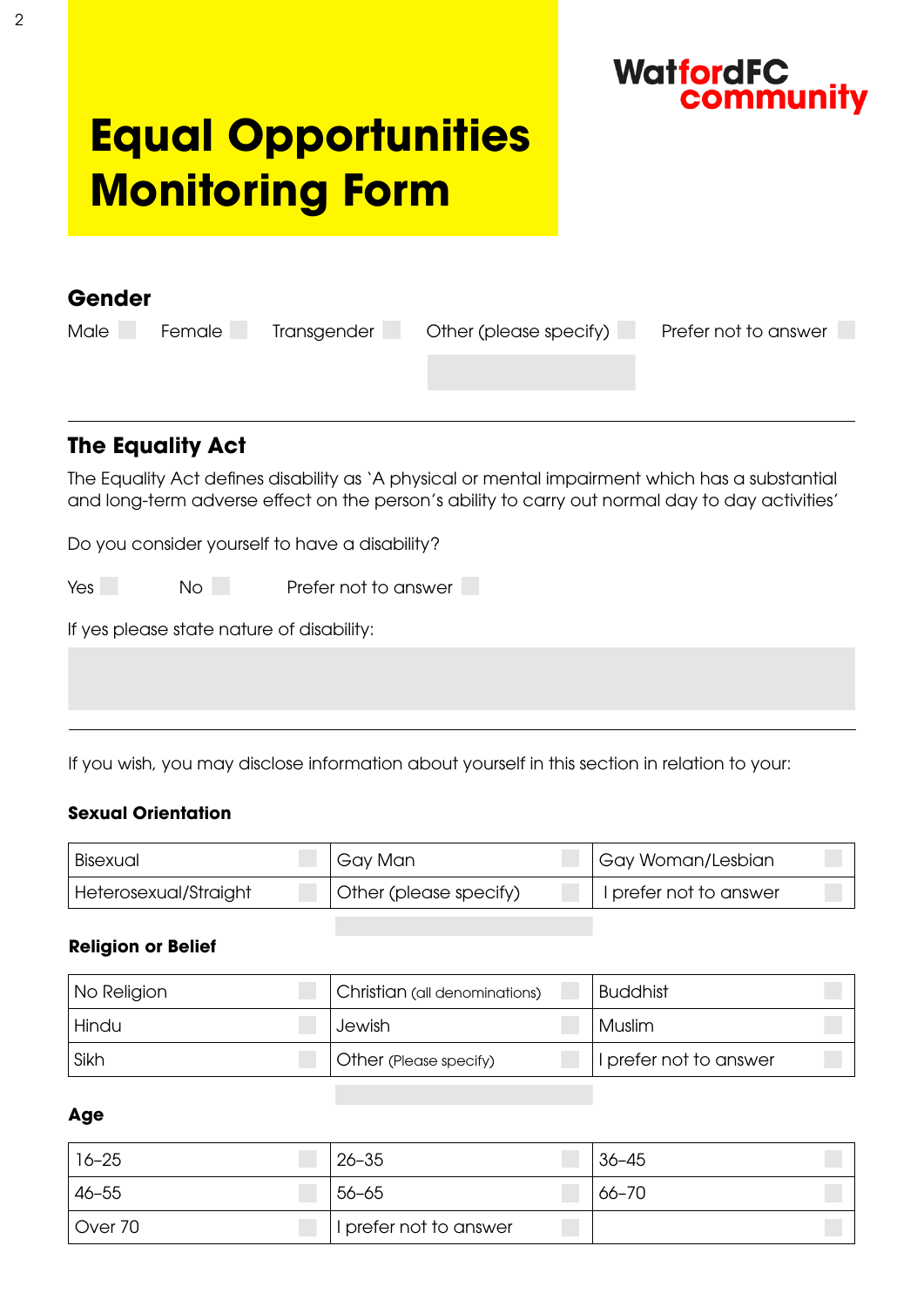

## **Equal Opportunities Monitoring Form**

| Gender                                                                                                                                                                                             |                         |             |                        |                      |
|----------------------------------------------------------------------------------------------------------------------------------------------------------------------------------------------------|-------------------------|-------------|------------------------|----------------------|
| <b>Male</b>                                                                                                                                                                                        | Female                  | Transgender | Other (please specify) | Prefer not to answer |
|                                                                                                                                                                                                    |                         |             |                        |                      |
|                                                                                                                                                                                                    |                         |             |                        |                      |
|                                                                                                                                                                                                    |                         |             |                        |                      |
|                                                                                                                                                                                                    | <b>The Equality Act</b> |             |                        |                      |
| The Equality Act defines disability as 'A physical or mental impairment which has a substantial<br>and long-term adverse effect on the person's ability to carry out normal day to day activities' |                         |             |                        |                      |

Do you consider yourself to have a disability?

Yes No Prefer not to answer

If yes please state nature of disability:

If you wish, you may disclose information about yourself in this section in relation to your:

#### **Sexual Orientation**

| Bisexual              | ' Gay Man              | <sup>I</sup> Gay Woman/Lesbian |
|-----------------------|------------------------|--------------------------------|
| Heterosexual/Straight | Other (please specify) | I prefer not to answer         |

#### **Religion or Belief**

| No Religion | Christian (all denominations) | <b>Buddhist</b>        |
|-------------|-------------------------------|------------------------|
| Hindu       | Jewish                        | Muslim                 |
| Sikh        | Other (Please specify)        | I prefer not to answer |

#### **Age**

| $16 - 25$ | $26 - 35$              | $36 - 45$ |
|-----------|------------------------|-----------|
| $46 - 55$ | $56 - 65$              | 66-70     |
| Over 70   | I prefer not to answer |           |